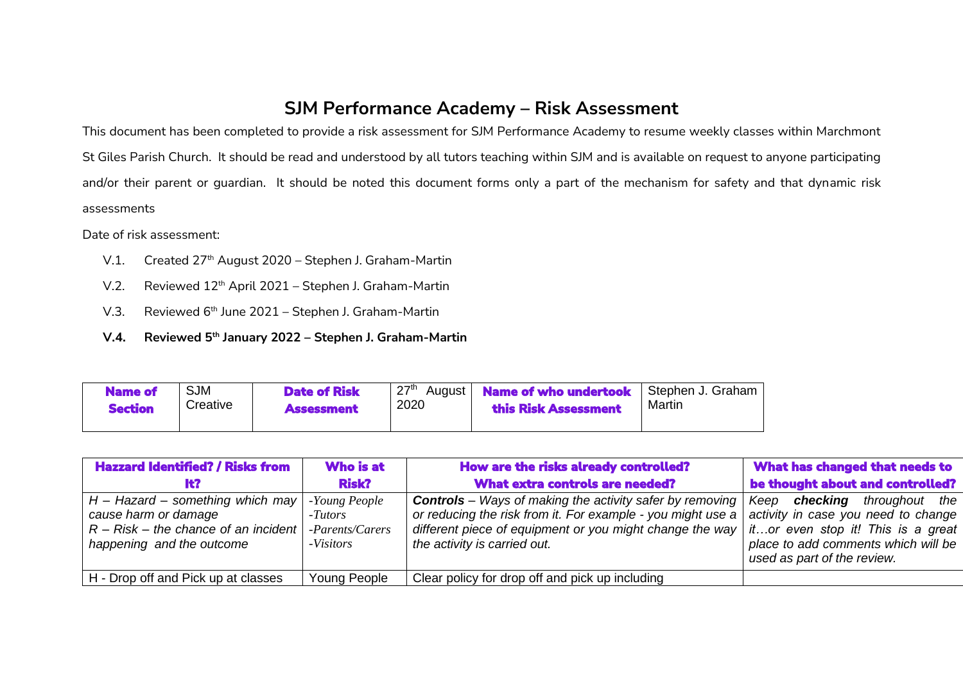## **SJM Performance Academy – Risk Assessment**

This document has been completed to provide a risk assessment for SJM Performance Academy to resume weekly classes within Marchmont St Giles Parish Church. It should be read and understood by all tutors teaching within SJM and is available on request to anyone participating and/or their parent or guardian. It should be noted this document forms only a part of the mechanism for safety and that dynamic risk assessments

Date of risk assessment:

- V.1. Created 27<sup>th</sup> August 2020 Stephen J. Graham-Martin
- V.2. Reviewed 12<sup>th</sup> April 2021 Stephen J. Graham-Martin
- V.3. Reviewed 6<sup>th</sup> June 2021 Stephen J. Graham-Martin
- **V.4. Reviewed 5 th January 2022 – Stephen J. Graham-Martin**

| <b>Name of</b><br><b>Section</b> | <b>SJM</b><br>Creative | <b>Date of Risk</b><br><b>Assessment</b> | っっth<br>August  <br>2020 | <b>Name of who undertook</b><br>this Risk Assessment | Stephen J. Graham<br>Martin |
|----------------------------------|------------------------|------------------------------------------|--------------------------|------------------------------------------------------|-----------------------------|
|                                  |                        |                                          |                          |                                                      |                             |

| <b>Hazzard Identified? / Risks from</b>                                                                                                           | Who is at                               | How are the risks already controlled?                                                                                                                                                                                      | What has changed that needs to                                                                                                                                                        |
|---------------------------------------------------------------------------------------------------------------------------------------------------|-----------------------------------------|----------------------------------------------------------------------------------------------------------------------------------------------------------------------------------------------------------------------------|---------------------------------------------------------------------------------------------------------------------------------------------------------------------------------------|
|                                                                                                                                                   | <b>Risk?</b>                            | <b>What extra controls are needed?</b>                                                                                                                                                                                     | be thought about and controlled?                                                                                                                                                      |
| $H -$ Hazard – something which may   -Young People<br>cause harm or damage<br>$R - Risk - the chance of an incident$<br>happening and the outcome | -Tutors<br>-Parents/Carers<br>-Visitors | <b>Controls</b> – Ways of making the activity safer by removing<br>or reducing the risk from it. For example - you might use a<br>different piece of equipment or you might change the way<br>the activity is carried out. | checking<br>throughout the<br>Keep<br>activity in case you need to change<br>itor even stop it! This is a great<br>place to add comments which will be<br>used as part of the review. |
| H - Drop off and Pick up at classes                                                                                                               | Young People                            | Clear policy for drop off and pick up including                                                                                                                                                                            |                                                                                                                                                                                       |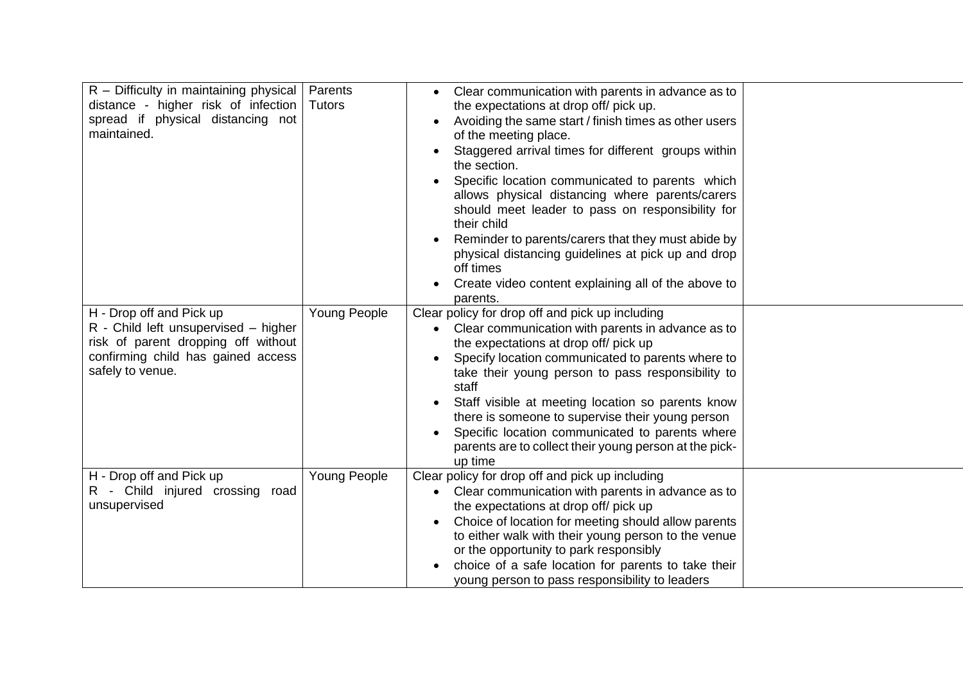| $R$ – Difficulty in maintaining physical<br>distance - higher risk of infection<br>spread if physical distancing not<br>maintained.                               | Parents<br><b>Tutors</b> | Clear communication with parents in advance as to<br>$\bullet$<br>the expectations at drop off/ pick up.<br>Avoiding the same start / finish times as other users<br>of the meeting place.<br>Staggered arrival times for different groups within<br>the section.<br>Specific location communicated to parents which<br>allows physical distancing where parents/carers<br>should meet leader to pass on responsibility for<br>their child<br>Reminder to parents/carers that they must abide by<br>physical distancing guidelines at pick up and drop<br>off times<br>Create video content explaining all of the above to<br>parents. |  |
|-------------------------------------------------------------------------------------------------------------------------------------------------------------------|--------------------------|----------------------------------------------------------------------------------------------------------------------------------------------------------------------------------------------------------------------------------------------------------------------------------------------------------------------------------------------------------------------------------------------------------------------------------------------------------------------------------------------------------------------------------------------------------------------------------------------------------------------------------------|--|
| H - Drop off and Pick up<br>R - Child left unsupervised – higher<br>risk of parent dropping off without<br>confirming child has gained access<br>safely to venue. | <b>Young People</b>      | Clear policy for drop off and pick up including<br>Clear communication with parents in advance as to<br>the expectations at drop off/ pick up<br>Specify location communicated to parents where to<br>take their young person to pass responsibility to<br>staff<br>Staff visible at meeting location so parents know<br>there is someone to supervise their young person<br>Specific location communicated to parents where<br>parents are to collect their young person at the pick-<br>up time                                                                                                                                      |  |
| H - Drop off and Pick up<br>R - Child injured crossing road<br>unsupervised                                                                                       | Young People             | Clear policy for drop off and pick up including<br>Clear communication with parents in advance as to<br>the expectations at drop off/ pick up<br>Choice of location for meeting should allow parents<br>to either walk with their young person to the venue<br>or the opportunity to park responsibly<br>choice of a safe location for parents to take their<br>young person to pass responsibility to leaders                                                                                                                                                                                                                         |  |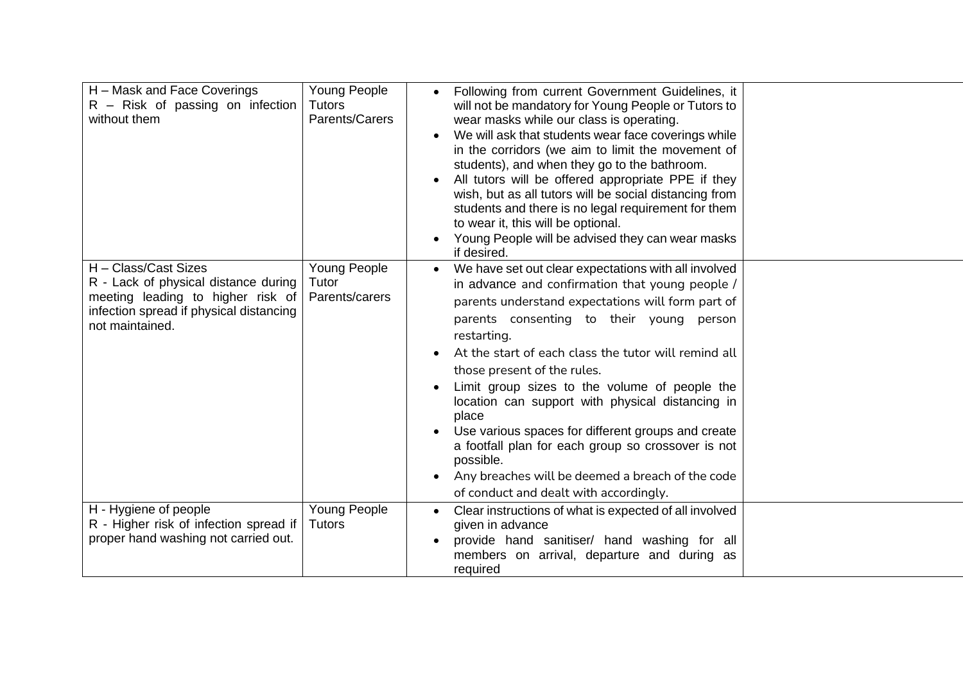| H – Mask and Face Coverings<br>$R -$ Risk of passing on infection<br>without them                                                                               | Young People<br><b>Tutors</b><br>Parents/Carers | Following from current Government Guidelines, it<br>will not be mandatory for Young People or Tutors to<br>wear masks while our class is operating.<br>We will ask that students wear face coverings while<br>in the corridors (we aim to limit the movement of<br>students), and when they go to the bathroom.<br>All tutors will be offered appropriate PPE if they<br>wish, but as all tutors will be social distancing from<br>students and there is no legal requirement for them<br>to wear it, this will be optional.<br>Young People will be advised they can wear masks<br>$\bullet$<br>if desired.                                                                  |  |
|-----------------------------------------------------------------------------------------------------------------------------------------------------------------|-------------------------------------------------|-------------------------------------------------------------------------------------------------------------------------------------------------------------------------------------------------------------------------------------------------------------------------------------------------------------------------------------------------------------------------------------------------------------------------------------------------------------------------------------------------------------------------------------------------------------------------------------------------------------------------------------------------------------------------------|--|
| H - Class/Cast Sizes<br>R - Lack of physical distance during<br>meeting leading to higher risk of<br>infection spread if physical distancing<br>not maintained. | Young People<br>Tutor<br>Parents/carers         | We have set out clear expectations with all involved<br>$\bullet$<br>in advance and confirmation that young people /<br>parents understand expectations will form part of<br>parents consenting to their young person<br>restarting.<br>At the start of each class the tutor will remind all<br>those present of the rules.<br>Limit group sizes to the volume of people the<br>location can support with physical distancing in<br>place<br>Use various spaces for different groups and create<br>a footfall plan for each group so crossover is not<br>possible.<br>Any breaches will be deemed a breach of the code<br>$\bullet$<br>of conduct and dealt with accordingly. |  |
| H - Hygiene of people<br>R - Higher risk of infection spread if<br>proper hand washing not carried out.                                                         | Young People<br><b>Tutors</b>                   | Clear instructions of what is expected of all involved<br>$\bullet$<br>given in advance<br>provide hand sanitiser/ hand washing for all<br>$\bullet$<br>members on arrival, departure and during as<br>required                                                                                                                                                                                                                                                                                                                                                                                                                                                               |  |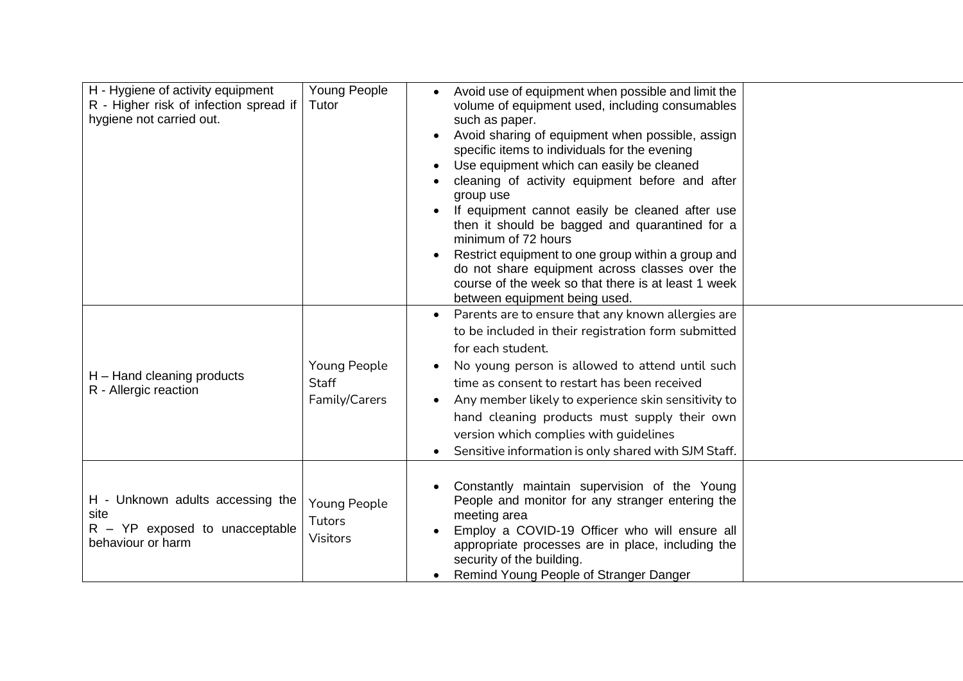| H - Hygiene of activity equipment<br>R - Higher risk of infection spread if<br>hygiene not carried out. | Young People<br>Tutor                                | Avoid use of equipment when possible and limit the<br>$\bullet$<br>volume of equipment used, including consumables<br>such as paper.<br>Avoid sharing of equipment when possible, assign<br>$\bullet$<br>specific items to individuals for the evening<br>Use equipment which can easily be cleaned<br>$\bullet$<br>cleaning of activity equipment before and after<br>group use<br>If equipment cannot easily be cleaned after use<br>then it should be bagged and quarantined for a<br>minimum of 72 hours<br>Restrict equipment to one group within a group and<br>do not share equipment across classes over the<br>course of the week so that there is at least 1 week<br>between equipment being used. |
|---------------------------------------------------------------------------------------------------------|------------------------------------------------------|--------------------------------------------------------------------------------------------------------------------------------------------------------------------------------------------------------------------------------------------------------------------------------------------------------------------------------------------------------------------------------------------------------------------------------------------------------------------------------------------------------------------------------------------------------------------------------------------------------------------------------------------------------------------------------------------------------------|
| H - Hand cleaning products<br>R - Allergic reaction                                                     | <b>Young People</b><br><b>Staff</b><br>Family/Carers | Parents are to ensure that any known allergies are<br>$\bullet$<br>to be included in their registration form submitted<br>for each student.<br>No young person is allowed to attend until such<br>time as consent to restart has been received<br>Any member likely to experience skin sensitivity to<br>$\bullet$<br>hand cleaning products must supply their own<br>version which complies with guidelines<br>Sensitive information is only shared with SJM Staff.                                                                                                                                                                                                                                         |
| H - Unknown adults accessing the<br>site<br>$R - YP$ exposed to unacceptable<br>behaviour or harm       | Young People<br>Tutors<br><b>Visitors</b>            | Constantly maintain supervision of the Young<br>People and monitor for any stranger entering the<br>meeting area<br>Employ a COVID-19 Officer who will ensure all<br>appropriate processes are in place, including the<br>security of the building.<br>Remind Young People of Stranger Danger                                                                                                                                                                                                                                                                                                                                                                                                                |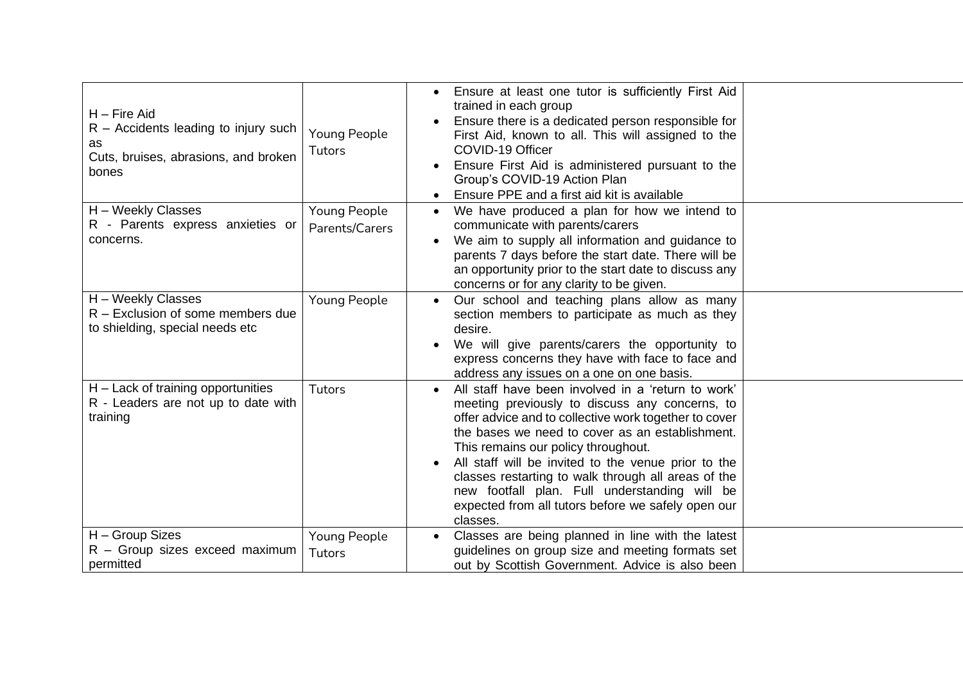| $H$ – Fire Aid<br>$R -$ Accidents leading to injury such<br>as<br>Cuts, bruises, abrasions, and broken<br>bones | Young People<br>Tutors         | Ensure at least one tutor is sufficiently First Aid<br>trained in each group<br>Ensure there is a dedicated person responsible for<br>First Aid, known to all. This will assigned to the<br>COVID-19 Officer<br>Ensure First Aid is administered pursuant to the<br>Group's COVID-19 Action Plan<br>Ensure PPE and a first aid kit is available                                                                                                                                                       |
|-----------------------------------------------------------------------------------------------------------------|--------------------------------|-------------------------------------------------------------------------------------------------------------------------------------------------------------------------------------------------------------------------------------------------------------------------------------------------------------------------------------------------------------------------------------------------------------------------------------------------------------------------------------------------------|
| H - Weekly Classes<br>R - Parents express anxieties or<br>concerns.                                             | Young People<br>Parents/Carers | We have produced a plan for how we intend to<br>communicate with parents/carers<br>We aim to supply all information and guidance to<br>parents 7 days before the start date. There will be<br>an opportunity prior to the start date to discuss any<br>concerns or for any clarity to be given.                                                                                                                                                                                                       |
| H - Weekly Classes<br>R - Exclusion of some members due<br>to shielding, special needs etc                      | Young People                   | Our school and teaching plans allow as many<br>section members to participate as much as they<br>desire.<br>We will give parents/carers the opportunity to<br>express concerns they have with face to face and<br>address any issues on a one on one basis.                                                                                                                                                                                                                                           |
| $H$ – Lack of training opportunities<br>R - Leaders are not up to date with<br>training                         | Tutors                         | All staff have been involved in a 'return to work'<br>$\bullet$<br>meeting previously to discuss any concerns, to<br>offer advice and to collective work together to cover<br>the bases we need to cover as an establishment.<br>This remains our policy throughout.<br>All staff will be invited to the venue prior to the<br>classes restarting to walk through all areas of the<br>new footfall plan. Full understanding will be<br>expected from all tutors before we safely open our<br>classes. |
| H - Group Sizes<br>R - Group sizes exceed maximum<br>permitted                                                  | Young People<br>Tutors         | Classes are being planned in line with the latest<br>guidelines on group size and meeting formats set<br>out by Scottish Government. Advice is also been                                                                                                                                                                                                                                                                                                                                              |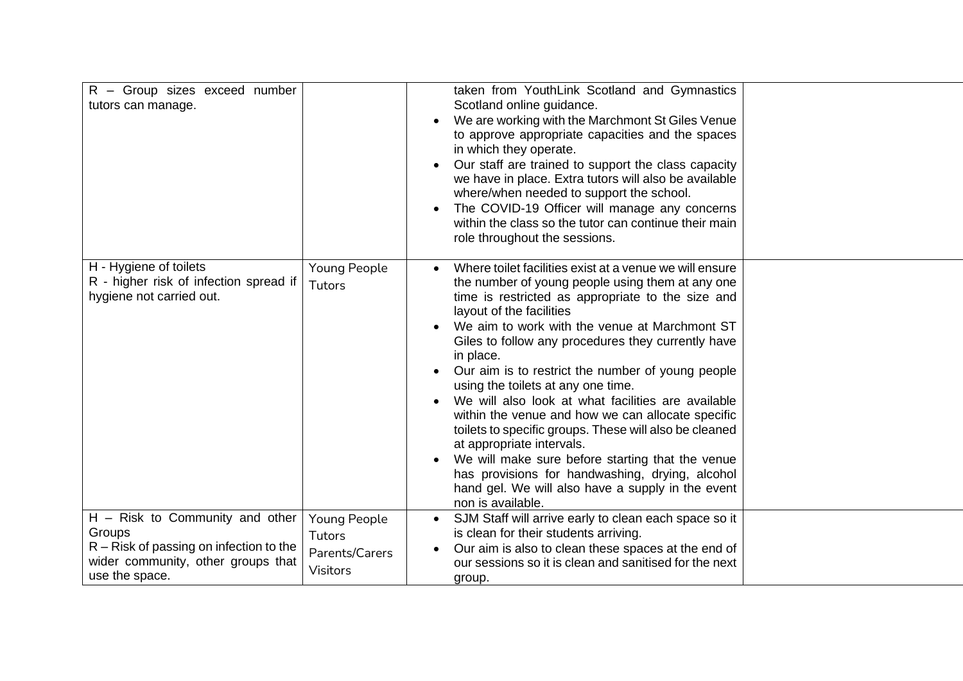| R - Group sizes exceed number<br>tutors can manage.                                                                                              |                                                             | taken from YouthLink Scotland and Gymnastics<br>Scotland online guidance.<br>We are working with the Marchmont St Giles Venue<br>to approve appropriate capacities and the spaces<br>in which they operate.<br>Our staff are trained to support the class capacity<br>$\bullet$<br>we have in place. Extra tutors will also be available<br>where/when needed to support the school.<br>The COVID-19 Officer will manage any concerns<br>within the class so the tutor can continue their main<br>role throughout the sessions.                                                                                                                                                                                                                                                                             |  |
|--------------------------------------------------------------------------------------------------------------------------------------------------|-------------------------------------------------------------|-------------------------------------------------------------------------------------------------------------------------------------------------------------------------------------------------------------------------------------------------------------------------------------------------------------------------------------------------------------------------------------------------------------------------------------------------------------------------------------------------------------------------------------------------------------------------------------------------------------------------------------------------------------------------------------------------------------------------------------------------------------------------------------------------------------|--|
| H - Hygiene of toilets<br>R - higher risk of infection spread if<br>hygiene not carried out.                                                     | Young People<br>Tutors                                      | Where toilet facilities exist at a venue we will ensure<br>the number of young people using them at any one<br>time is restricted as appropriate to the size and<br>layout of the facilities<br>We aim to work with the venue at Marchmont ST<br>$\bullet$<br>Giles to follow any procedures they currently have<br>in place.<br>Our aim is to restrict the number of young people<br>using the toilets at any one time.<br>We will also look at what facilities are available<br>within the venue and how we can allocate specific<br>toilets to specific groups. These will also be cleaned<br>at appropriate intervals.<br>We will make sure before starting that the venue<br>has provisions for handwashing, drying, alcohol<br>hand gel. We will also have a supply in the event<br>non is available. |  |
| $H -$ Risk to Community and other<br>Groups<br>$R -$ Risk of passing on infection to the<br>wider community, other groups that<br>use the space. | Young People<br>Tutors<br>Parents/Carers<br><b>Visitors</b> | SJM Staff will arrive early to clean each space so it<br>$\bullet$<br>is clean for their students arriving.<br>Our aim is also to clean these spaces at the end of<br>our sessions so it is clean and sanitised for the next<br>group.                                                                                                                                                                                                                                                                                                                                                                                                                                                                                                                                                                      |  |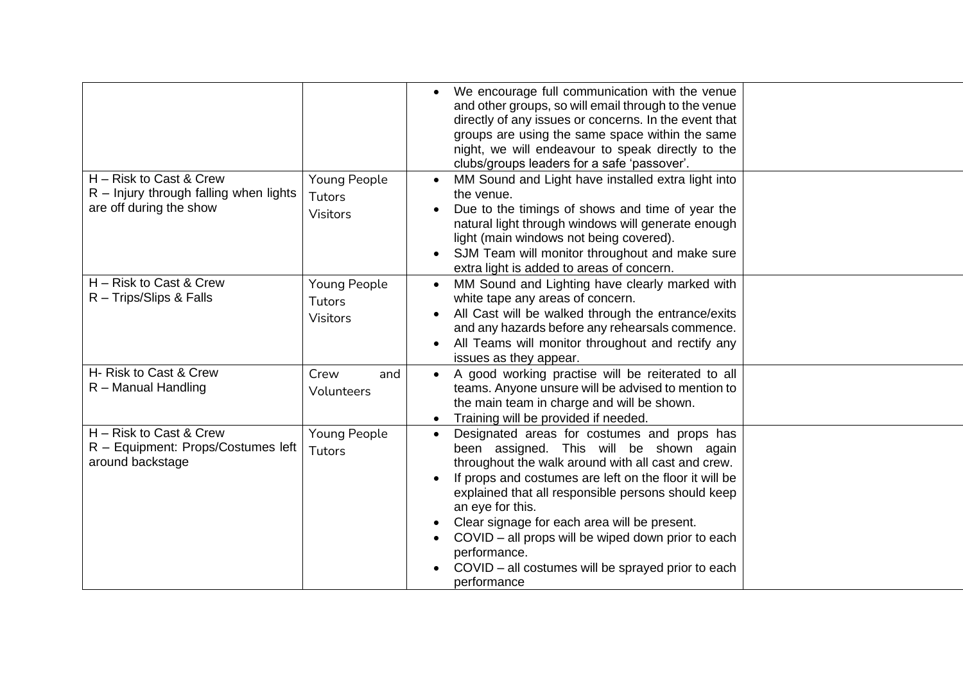|                                                                                                |                                                  | We encourage full communication with the venue<br>and other groups, so will email through to the venue<br>directly of any issues or concerns. In the event that<br>groups are using the same space within the same<br>night, we will endeavour to speak directly to the<br>clubs/groups leaders for a safe 'passover'.                                                                                                                                                                   |
|------------------------------------------------------------------------------------------------|--------------------------------------------------|------------------------------------------------------------------------------------------------------------------------------------------------------------------------------------------------------------------------------------------------------------------------------------------------------------------------------------------------------------------------------------------------------------------------------------------------------------------------------------------|
| H - Risk to Cast & Crew<br>$R$ – Injury through falling when lights<br>are off during the show | Young People<br>Tutors<br><b>Visitors</b>        | MM Sound and Light have installed extra light into<br>the venue.<br>Due to the timings of shows and time of year the<br>natural light through windows will generate enough<br>light (main windows not being covered).<br>SJM Team will monitor throughout and make sure<br>extra light is added to areas of concern.                                                                                                                                                                     |
| H - Risk to Cast & Crew<br>R - Trips/Slips & Falls                                             | <b>Young People</b><br><b>Tutors</b><br>Visitors | MM Sound and Lighting have clearly marked with<br>$\bullet$<br>white tape any areas of concern.<br>All Cast will be walked through the entrance/exits<br>and any hazards before any rehearsals commence.<br>All Teams will monitor throughout and rectify any<br>issues as they appear.                                                                                                                                                                                                  |
| H- Risk to Cast & Crew<br>R - Manual Handling                                                  | Crew<br>and<br>Volunteers                        | A good working practise will be reiterated to all<br>teams. Anyone unsure will be advised to mention to<br>the main team in charge and will be shown.<br>Training will be provided if needed.<br>$\bullet$                                                                                                                                                                                                                                                                               |
| H - Risk to Cast & Crew<br>R - Equipment: Props/Costumes left<br>around backstage              | Young People<br>Tutors                           | Designated areas for costumes and props has<br>$\bullet$<br>been assigned. This will be shown again<br>throughout the walk around with all cast and crew.<br>If props and costumes are left on the floor it will be<br>explained that all responsible persons should keep<br>an eye for this.<br>Clear signage for each area will be present.<br>COVID – all props will be wiped down prior to each<br>performance.<br>COVID – all costumes will be sprayed prior to each<br>performance |